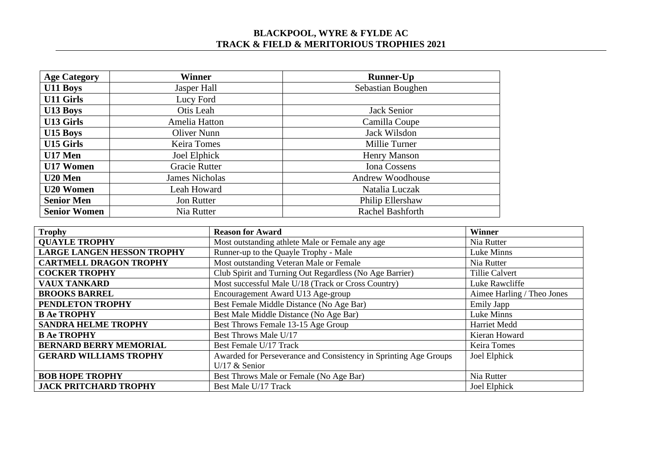## **BLACKPOOL, WYRE & FYLDE AC TRACK & FIELD & MERITORIOUS TROPHIES 2021**

| <b>Age Category</b> | Winner                | <b>Runner-Up</b>        |  |
|---------------------|-----------------------|-------------------------|--|
| U11 Boys            | Jasper Hall           | Sebastian Boughen       |  |
| <b>U11 Girls</b>    | Lucy Ford             |                         |  |
| <b>U13 Boys</b>     | Otis Leah             | Jack Senior             |  |
| <b>U13 Girls</b>    | Amelia Hatton         | Camilla Coupe           |  |
| U15 Boys            | Oliver Nunn           | Jack Wilsdon            |  |
| U15 Girls           | <b>Keira Tomes</b>    | Millie Turner           |  |
| U17 Men             | Joel Elphick          | <b>Henry Manson</b>     |  |
| U17 Women           | Gracie Rutter         | <b>Iona Cossens</b>     |  |
| U20 Men             | <b>James Nicholas</b> | Andrew Woodhouse        |  |
| <b>U20 Women</b>    | Leah Howard           | Natalia Luczak          |  |
| <b>Senior Men</b>   | <b>Jon Rutter</b>     | Philip Ellershaw        |  |
| <b>Senior Women</b> | Nia Rutter            | <b>Rachel Bashforth</b> |  |

| <b>Trophy</b>                     | <b>Reason for Award</b>                                          | <b>Winner</b>              |
|-----------------------------------|------------------------------------------------------------------|----------------------------|
| <b>QUAYLE TROPHY</b>              | Most outstanding athlete Male or Female any age                  | Nia Rutter                 |
| <b>LARGE LANGEN HESSON TROPHY</b> | Runner-up to the Quayle Trophy - Male                            | Luke Minns                 |
| <b>CARTMELL DRAGON TROPHY</b>     | Most outstanding Veteran Male or Female                          | Nia Rutter                 |
| <b>COCKER TROPHY</b>              | Club Spirit and Turning Out Regardless (No Age Barrier)          | Tillie Calvert             |
| <b>VAUX TANKARD</b>               | Most successful Male U/18 (Track or Cross Country)               | Luke Rawcliffe             |
| <b>BROOKS BARREL</b>              | Encouragement Award U13 Age-group                                | Aimee Harling / Theo Jones |
| PENDLETON TROPHY                  | Best Female Middle Distance (No Age Bar)                         | <b>Emily Japp</b>          |
| <b>B Ae TROPHY</b>                | Best Male Middle Distance (No Age Bar)                           | Luke Minns                 |
| <b>SANDRA HELME TROPHY</b>        | Best Throws Female 13-15 Age Group                               | Harriet Medd               |
| <b>B Ae TROPHY</b>                | Best Throws Male U/17                                            | Kieran Howard              |
| <b>BERNARD BERRY MEMORIAL</b>     | Best Female U/17 Track                                           | Keira Tomes                |
| <b>GERARD WILLIAMS TROPHY</b>     | Awarded for Perseverance and Consistency in Sprinting Age Groups | Joel Elphick               |
|                                   | U/17 $&$ Senior                                                  |                            |
| <b>BOB HOPE TROPHY</b>            | Best Throws Male or Female (No Age Bar)                          | Nia Rutter                 |
| <b>JACK PRITCHARD TROPHY</b>      | Best Male U/17 Track                                             | Joel Elphick               |